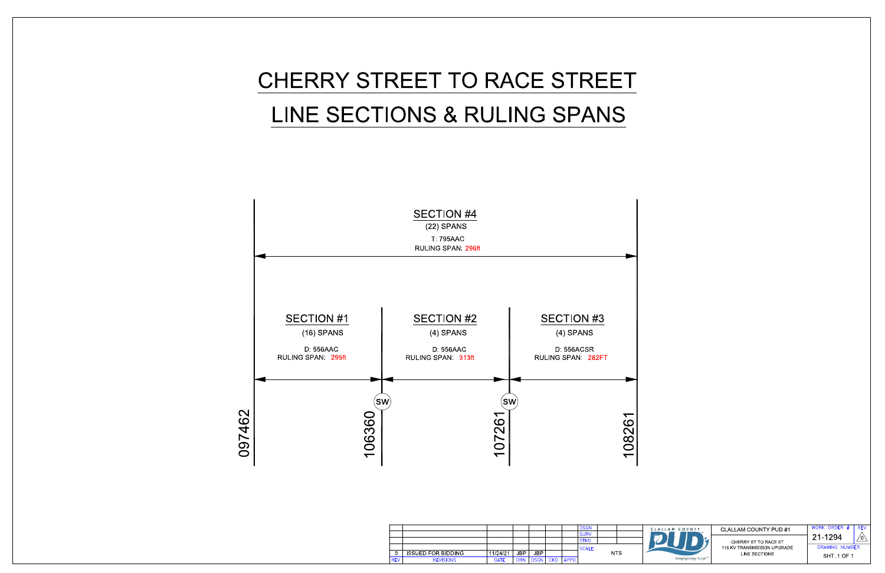



|            |                           |             |            |            |            |             | <b>DSGN</b> |            |  |
|------------|---------------------------|-------------|------------|------------|------------|-------------|-------------|------------|--|
|            |                           |             |            |            |            |             | <b>SURV</b> |            |  |
|            |                           |             |            |            |            |             | <b>STKD</b> |            |  |
|            |                           |             |            |            |            |             | SCALE:      |            |  |
| 0          | <b>ISSUED FOR BIDDING</b> | 11/24/21    | <b>JBP</b> | <b>JBP</b> |            |             |             | <b>NTS</b> |  |
| <b>REV</b> | <b>REVISIONS</b>          | <b>DATE</b> | <b>DRN</b> | DSGN       | <b>CKD</b> | <b>APPD</b> |             |            |  |



## CLALLAM COUNTY PUD #1

CHERRY ST TO RACE ST<br>115 KV TRANSMISSION UPGRADE LINE SECTIONS

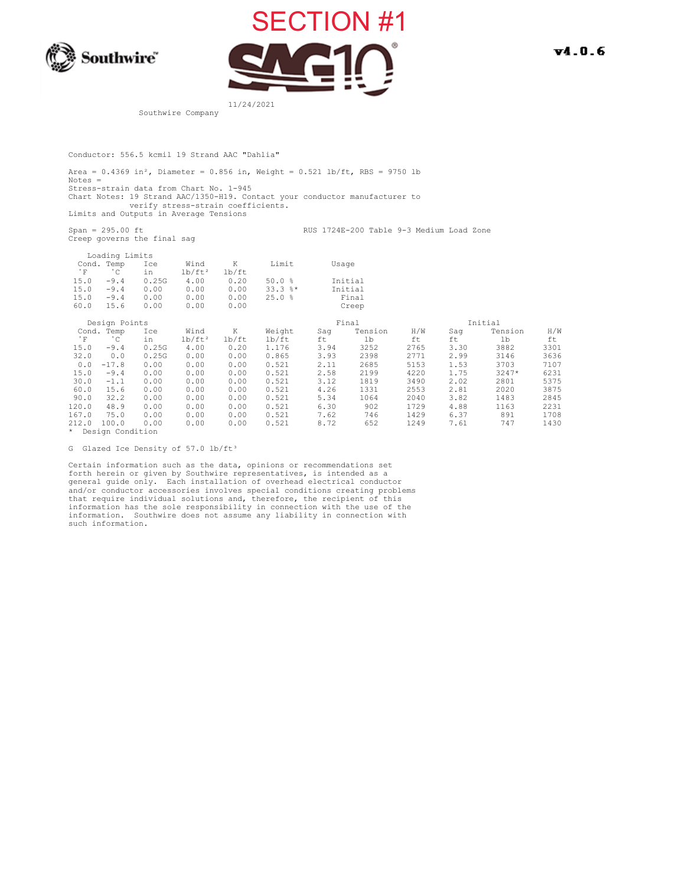



 $V4.0.6$ 

Southwire Company

Conductor: 556.5 kcmil 19 Strand AAC "Dahlia"

Area =  $0.4369$  in<sup>2</sup>, Diameter =  $0.856$  in, Weight =  $0.521$  lb/ft, RBS = 9750 lb Notes = Stress-strain data from Chart No. 1-945 Chart Notes: 19 Strand AAC/1350-H19. Contact your conductor manufacturer to verify stress-strain coefficients. Limits and Outputs in Average Tensions

Creep governs the final sag

Span = 295.00 ft RUS 1724E-200 Table 9-3 Medium Load Zone

|            | Loading Limits   |       |           |       |              |       |         |      |      |         |      |
|------------|------------------|-------|-----------|-------|--------------|-------|---------|------|------|---------|------|
| Cond.      | Temp             | Ice   | Wind      | K     | Limit        | Usage |         |      |      |         |      |
| $^\circ$ F | °C               | in    | $lb/ft^2$ | lb/ft |              |       |         |      |      |         |      |
| 15.0       | $-9.4$           | 0.25G | 4.00      | 0.20  | 50.0%        |       | Initial |      |      |         |      |
| 15.0       | $-9.4$           | 0.00  | 0.00      | 0.00  | $33.3$ $%$ * |       | Initial |      |      |         |      |
| 15.0       | $-9.4$           | 0.00  | 0.00      | 0.00  | 25.0%        |       | Final   |      |      |         |      |
| 60.0       | 15.6             | 0.00  | 0.00      | 0.00  |              |       | Creep   |      |      |         |      |
|            | Design Points    |       |           |       |              |       | Final   |      |      | Initial |      |
|            | Cond. Temp       | Ice   | Wind      | Κ     | Weight       | Saq   | Tension | H/W  | Saq  | Tension | H/W  |
| $^\circ$ F | $^{\circ}$ C     | in    | $lb/ft^2$ | lb/ft | lb/ft        | ft    | lb      | ft   | ft   | lb      | ft   |
| 15.0       | $-9.4$           | 0.25G | 4.00      | 0.20  | 1.176        | 3.94  | 3252    | 2765 | 3.30 | 3882    | 3301 |
| 32.0       | 0.0              | 0.25G | 0.00      | 0.00  | 0.865        | 3.93  | 2398    | 2771 | 2.99 | 3146    | 3636 |
| 0.0        | $-17.8$          | 0.00  | 0.00      | 0.00  | 0.521        | 2.11  | 2685    | 5153 | 1.53 | 3703    | 7107 |
| 15.0       | $-9.4$           | 0.00  | 0.00      | 0.00  | 0.521        | 2.58  | 2199    | 4220 | 1.75 | $3247*$ | 6231 |
| 30.0       | $-1.1$           | 0.00  | 0.00      | 0.00  | 0.521        | 3.12  | 1819    | 3490 | 2.02 | 2801    | 5375 |
| 60.0       | 15.6             | 0.00  | 0.00      | 0.00  | 0.521        | 4.26  | 1331    | 2553 | 2.81 | 2020    | 3875 |
| 90.0       | 32.2             | 0.00  | 0.00      | 0.00  | 0.521        | 5.34  | 1064    | 2040 | 3.82 | 1483    | 2845 |
| 120.0      | 48.9             | 0.00  | 0.00      | 0.00  | 0.521        | 6.30  | 902     | 1729 | 4.88 | 1163    | 2231 |
| 167.0      | 75.0             | 0.00  | 0.00      | 0.00  | 0.521        | 7.62  | 746     | 1429 | 6.37 | 891     | 1708 |
| 212.0      | 100.0            | 0.00  | 0.00      | 0.00  | 0.521        | 8.72  | 652     | 1249 | 7.61 | 747     | 1430 |
| $\star$    | Design Condition |       |           |       |              |       |         |      |      |         |      |

G Glazed Ice Density of 57.0 lb/ft<sup>3</sup>

 Certain information such as the data, opinions or recommendations set forth herein or given by Southwire representatives, is intended as a general guide only. Each installation of overhead electrical conductor and/or conductor accessories involves special conditions creating problems that require individual solutions and, therefore, the recipient of this information has the sole responsibility in connection with the use of the information. Southwire does not assume any liability in connection with such information.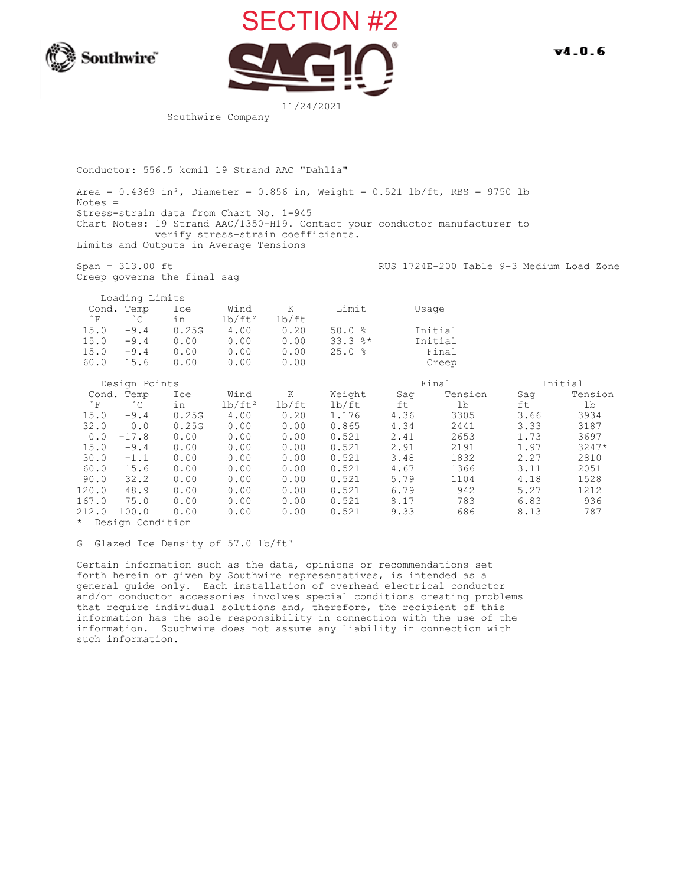



Southwire Company

Conductor: 556.5 kcmil 19 Strand AAC "Dahlia"

Area =  $0.4369$  in<sup>2</sup>, Diameter =  $0.856$  in, Weight =  $0.521$  lb/ft, RBS = 9750 lb Notes = Stress-strain data from Chart No. 1-945 Chart Notes: 19 Strand AAC/1350-H19. Contact your conductor manufacturer to verify stress-strain coefficients. Limits and Outputs in Average Tensions

Creep governs the final sag

Span = 313.00 ft <br>RUS 1724E-200 Table 9-3 Medium Load Zone

|                      | Loading Limits             |           |                   |            |              |      |         |      |         |
|----------------------|----------------------------|-----------|-------------------|------------|--------------|------|---------|------|---------|
| $^{\circ}$ F         | Cond. Temp<br>$^{\circ}$ C | Ice<br>in | Wind<br>$lb/ft^2$ | Κ<br>lb/ft | Limit        |      | Usage   |      |         |
| 15.0                 | $-9.4$                     | 0.25G     | 4.00              | 0.20       | 50.0%        |      | Initial |      |         |
| 15.0                 | $-9.4$                     | 0.00      | 0.00              | 0.00       | $33.3$ $%$ * |      | Initial |      |         |
| 15.0                 | $-9.4$                     | 0.00      | 0.00              | 0.00       | 25.0%        |      | Final   |      |         |
| 60.0                 | 15.6                       | 0.00      | 0.00              | 0.00       |              |      | Creep   |      |         |
|                      | Design Points              |           |                   |            |              |      | Final   |      | Initial |
|                      | Cond. Temp                 | Ice       | Wind              | Κ          | Weight       | Saq  | Tension | Saq  | Tension |
| $^\circ$ F           | $^{\circ}$ C               | in        | $1b/ft^2$         | lb/ft      | lb/ft        | ft   | 1b      | ft   | lb      |
| 15.0                 | $-9.4$                     | 0.25G     | 4.00              | 0.20       | 1.176        | 4.36 | 3305    | 3.66 | 3934    |
| 32.0                 | 0.0                        | 0.25G     | 0.00              | 0.00       | 0.865        | 4.34 | 2441    | 3.33 | 3187    |
| 0.0                  | $-17.8$                    | 0.00      | 0.00              | 0.00       | 0.521        | 2.41 | 2653    | 1.73 | 3697    |
| 15.0                 | $-9.4$                     | 0.00      | 0.00              | 0.00       | 0.521        | 2.91 | 2191    | 1.97 | $3247*$ |
| 30.0                 | $-1.1$                     | 0.00      | 0.00              | 0.00       | 0.521        | 3.48 | 1832    | 2.27 | 2810    |
| 60.0                 | 15.6                       | 0.00      | 0.00              | 0.00       | 0.521        | 4.67 | 1366    | 3.11 | 2051    |
| 90.0                 | 32.2                       | 0.00      | 0.00              | 0.00       | 0.521        | 5.79 | 1104    | 4.18 | 1528    |
| 120.0                | 48.9                       | 0.00      | 0.00              | 0.00       | 0.521        | 6.79 | 942     | 5.27 | 1212    |
| 167.0                | 75.0                       | 0.00      | 0.00              | 0.00       | 0.521        | 8.17 | 783     | 6.83 | 936     |
| 212.0                | 100.0                      | 0.00      | 0.00              | 0.00       | 0.521        | 9.33 | 686     | 8.13 | 787     |
| de Barton Caradotton |                            |           |                   |            |              |      |         |      |         |

\* Design Condition

G Glazed Ice Density of 57.0 lb/ft<sup>3</sup>

 Certain information such as the data, opinions or recommendations set forth herein or given by Southwire representatives, is intended as a general guide only. Each installation of overhead electrical conductor and/or conductor accessories involves special conditions creating problems that require individual solutions and, therefore, the recipient of this information has the sole responsibility in connection with the use of the information. Southwire does not assume any liability in connection with such information.

 $V4.0.6$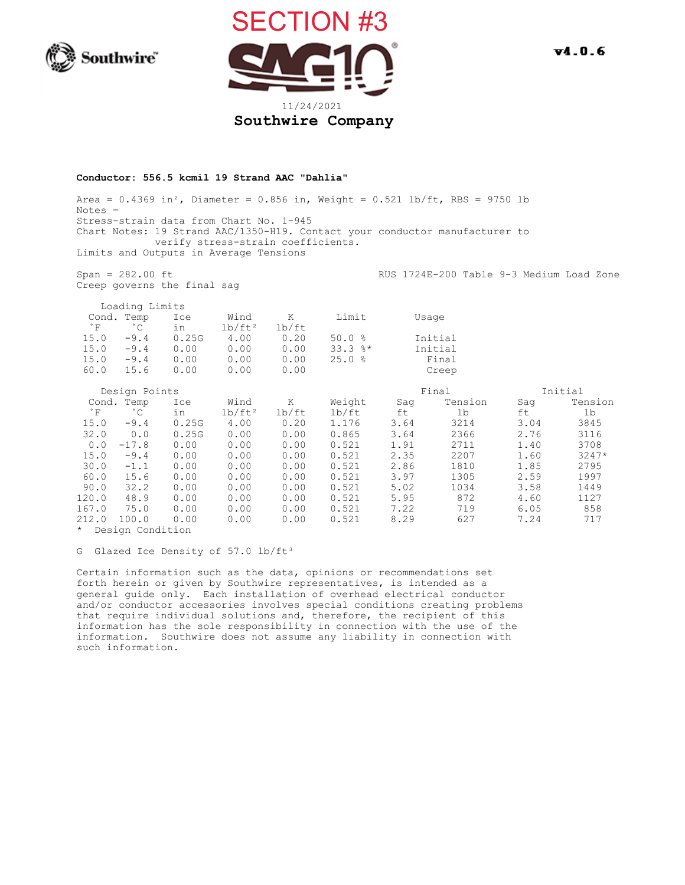



## **Conductor: 556.5 kcmil 19 Strand AAC "Dahlia"**

Area =  $0.4369$  in<sup>2</sup>, Diameter =  $0.856$  in, Weight =  $0.521$  lb/ft, RBS = 9750 lb Notes = Stress-strain data from Chart No. 1-945 Chart Notes: 19 Strand AAC/1350-H19. Contact your conductor manufacturer to verify stress-strain coefficients. Limits and Outputs in Average Tensions

Creep governs the final sag

Span = 282.00 ft  $RUS 1724E-200$  Table 9-3 Medium Load Zone

Loading Limits

| Cond. Temp |                   | Ice   | Wind      |       | Limit        | Usage   |
|------------|-------------------|-------|-----------|-------|--------------|---------|
| ੰ ਸ        | $^{\circ}$ $\sim$ | in    | $1b/ft^2$ | lb/ft |              |         |
| 15.0       | $-9.4$            | 0.25G | 4.00      | 0.20  | 50.0%        | Initial |
| 15.0       | $-9.4$            | 0.00  | 0.00      | 0.00  | $33.3$ $%$ * | Initial |
| 15.0       | $-9.4$            | 0.00  | 0.00      | 0.00  | 25.0%        | Final   |
| 60.0       | 15.6              | 0.00  | 0.00      | 0.00  |              | Creep   |

|       | Design Points  |       |           |       |        | Final | Initial |      |         |
|-------|----------------|-------|-----------|-------|--------|-------|---------|------|---------|
|       | Cond. Temp     | Ice   | Wind      | Κ     | Weight | Saq   | Tension | Saq  | Tension |
| ° F   | $^{\circ}$ C   | in    | $lb/ft^2$ | lb/ft | lb/ft  | ft    | 1b      | ft   | 1b      |
| 15.0  | $-9.4$         | 0.25G | 4.00      | 0.20  | 1.176  | 3.64  | 3214    | 3.04 | 3845    |
| 32.0  | 0.0            | 0.25G | 0.00      | 0.00  | 0.865  | 3.64  | 2366    | 2.76 | 3116    |
|       | 0.0<br>$-17.8$ | 0.00  | 0.00      | 0.00  | 0.521  | 1.91  | 2711    | 1.40 | 3708    |
| 15.0  | $-9.4$         | 0.00  | 0.00      | 0.00  | 0.521  | 2.35  | 2207    | 1.60 | $3247*$ |
| 30.0  | $-1.1$         | 0.00  | 0.00      | 0.00  | 0.521  | 2.86  | 1810    | 1.85 | 2795    |
| 60.0  | 15.6           | 0.00  | 0.00      | 0.00  | 0.521  | 3.97  | 1305    | 2.59 | 1997    |
| 90.0  | 32.2           | 0.00  | 0.00      | 0.00  | 0.521  | 5.02  | 1034    | 3.58 | 1449    |
| 120.0 | 48.9           | 0.00  | 0.00      | 0.00  | 0.521  | 5.95  | 872     | 4.60 | 1127    |
| 167.0 | 75.0           | 0.00  | 0.00      | 0.00  | 0.521  | 7.22  | 719     | 6.05 | 858     |
| 212.0 | 100.0          | 0.00  | 0.00      | 0.00  | 0.521  | 8.29  | 627     | 7.24 | 717     |
|       |                |       |           |       |        |       |         |      |         |

\* Design Condition

G Glazed Ice Density of 57.0 lb/ft<sup>3</sup>

 Certain information such as the data, opinions or recommendations set forth herein or given by Southwire representatives, is intended as a general guide only. Each installation of overhead electrical conductor and/or conductor accessories involves special conditions creating problems that require individual solutions and, therefore, the recipient of this information has the sole responsibility in connection with the use of the information. Southwire does not assume any liability in connection with such information.